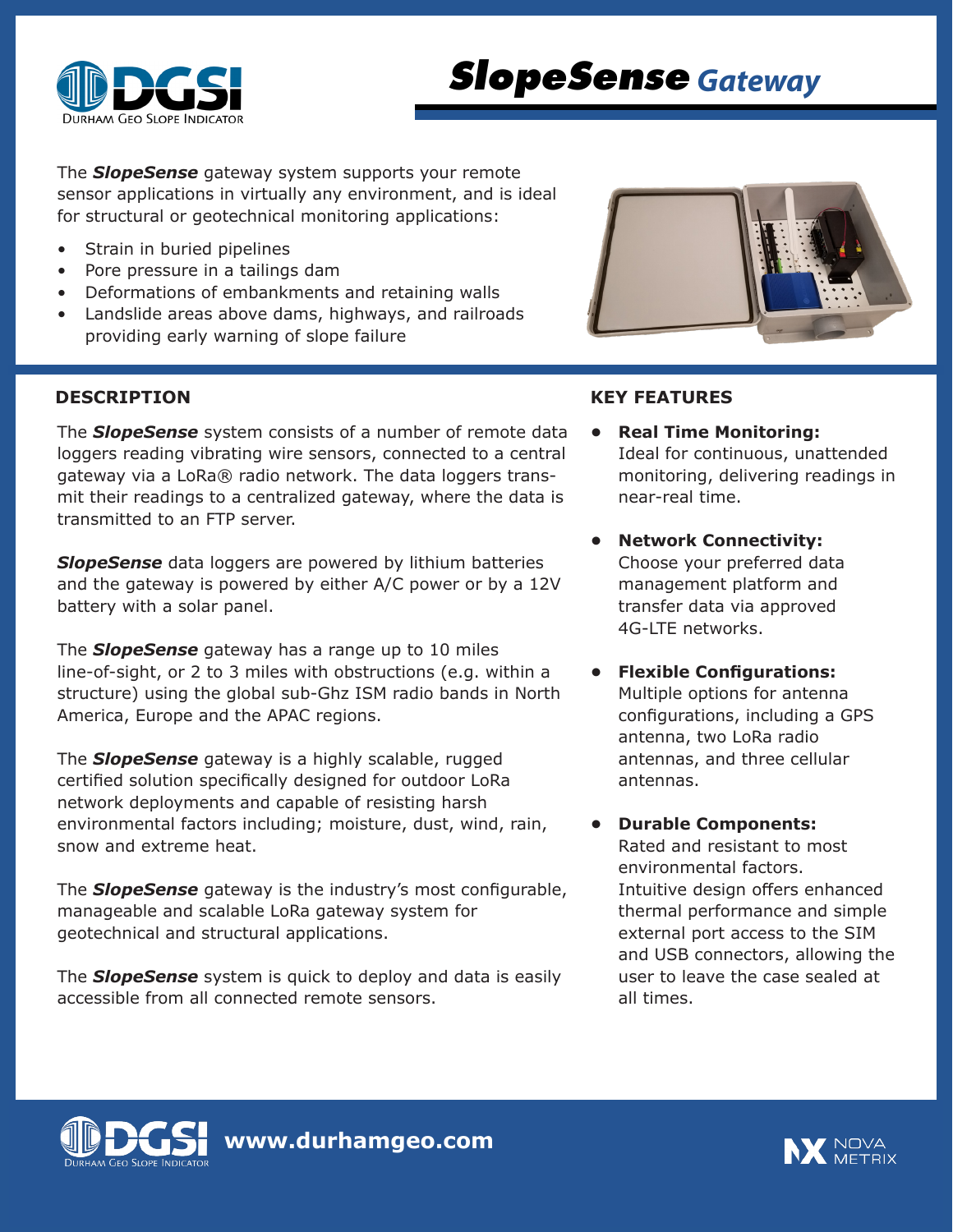

# *SlopeSense Gateway*

The *SlopeSense* gateway system supports your remote sensor applications in virtually any environment, and is ideal for structural or geotechnical monitoring applications:

- Strain in buried pipelines
- Pore pressure in a tailings dam
- Deformations of embankments and retaining walls
- Landslide areas above dams, highways, and railroads providing early warning of slope failure

The *SlopeSense* system consists of a number of remote data loggers reading vibrating wire sensors, connected to a central gateway via a LoRa® radio network. The data loggers transmit their readings to a centralized gateway, where the data is transmitted to an FTP server.

*SlopeSense* data loggers are powered by lithium batteries and the gateway is powered by either A/C power or by a 12V battery with a solar panel.

The *SlopeSense* gateway has a range up to 10 miles line-of-sight, or 2 to 3 miles with obstructions (e.g. within a structure) using the global sub-Ghz ISM radio bands in North America, Europe and the APAC regions.

The *SlopeSense* gateway is a highly scalable, rugged certified solution specifically designed for outdoor LoRa network deployments and capable of resisting harsh environmental factors including; moisture, dust, wind, rain, snow and extreme heat.

The *SlopeSense* gateway is the industry's most configurable, manageable and scalable LoRa gateway system for geotechnical and structural applications.

The *SlopeSense* system is quick to deploy and data is easily accessible from all connected remote sensors.



# **DESCRIPTION KEY FEATURES**

- **• Real Time Monitoring:**  Ideal for continuous, unattended monitoring, delivering readings in near-real time.
- **• Network Connectivity:** Choose your preferred data management platform and transfer data via approved 4G-LTE networks.
- **• Flexible Configurations:** Multiple options for antenna configurations, including a GPS antenna, two LoRa radio antennas, and three cellular antennas.
	- **• Durable Components:** Rated and resistant to most environmental factors. Intuitive design offers enhanced thermal performance and simple external port access to the SIM and USB connectors, allowing the user to leave the case sealed at all times.